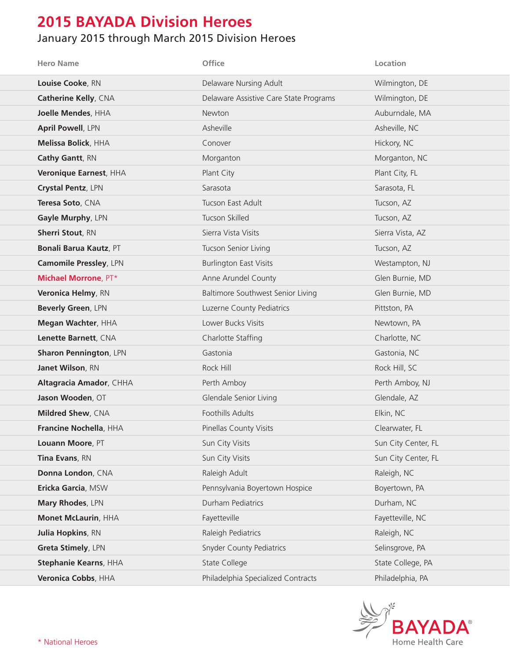## **2015 BAYADA Division Heroes**

## January 2015 through March 2015 Division Heroes

| <b>Hero Name</b>              | Office                                 | Location            |
|-------------------------------|----------------------------------------|---------------------|
| Louise Cooke, RN              | Delaware Nursing Adult                 | Wilmington, DE      |
| <b>Catherine Kelly, CNA</b>   | Delaware Assistive Care State Programs | Wilmington, DE      |
| Joelle Mendes, HHA            | Newton                                 | Auburndale, MA      |
| <b>April Powell, LPN</b>      | Asheville                              | Asheville, NC       |
| <b>Melissa Bolick, HHA</b>    | Conover                                | Hickory, NC         |
| Cathy Gantt, RN               | Morganton                              | Morganton, NC       |
| Veronique Earnest, HHA        | Plant City                             | Plant City, FL      |
| Crystal Pentz, LPN            | Sarasota                               | Sarasota, FL        |
| Teresa Soto, CNA              | Tucson East Adult                      | Tucson, AZ          |
| Gayle Murphy, LPN             | Tucson Skilled                         | Tucson, AZ          |
| <b>Sherri Stout, RN</b>       | Sierra Vista Visits                    | Sierra Vista, AZ    |
| <b>Bonali Barua Kautz, PT</b> | Tucson Senior Living                   | Tucson, AZ          |
| <b>Camomile Pressley, LPN</b> | <b>Burlington East Visits</b>          | Westampton, NJ      |
| <b>Michael Morrone, PT*</b>   | Anne Arundel County                    | Glen Burnie, MD     |
| Veronica Helmy, RN            | Baltimore Southwest Senior Living      | Glen Burnie, MD     |
| Beverly Green, LPN            | Luzerne County Pediatrics              | Pittston, PA        |
| Megan Wachter, HHA            | Lower Bucks Visits                     | Newtown, PA         |
| Lenette Barnett, CNA          | Charlotte Staffing                     | Charlotte, NC       |
| <b>Sharon Pennington, LPN</b> | Gastonia                               | Gastonia, NC        |
| Janet Wilson, RN              | Rock Hill                              | Rock Hill, SC       |
| Altagracia Amador, CHHA       | Perth Amboy                            | Perth Amboy, NJ     |
| Jason Wooden, OT              | Glendale Senior Living                 | Glendale, AZ        |
| Mildred Shew, CNA             | Foothills Adults                       | Elkin, NC           |
| Francine Nochella, HHA        | Pinellas County Visits                 | Clearwater, FL      |
| Louann Moore, PT              | Sun City Visits                        | Sun City Center, FL |
| Tina Evans, RN                | Sun City Visits                        | Sun City Center, FL |
| Donna London, CNA             | Raleigh Adult                          | Raleigh, NC         |
| Ericka Garcia, MSW            | Pennsylvania Boyertown Hospice         | Boyertown, PA       |
| Mary Rhodes, LPN              | Durham Pediatrics                      | Durham, NC          |
| Monet McLaurin, HHA           | Fayetteville                           | Fayetteville, NC    |
| <b>Julia Hopkins, RN</b>      | Raleigh Pediatrics                     | Raleigh, NC         |
| Greta Stimely, LPN            | <b>Snyder County Pediatrics</b>        | Selinsgrove, PA     |
| Stephanie Kearns, HHA         | State College                          | State College, PA   |
| Veronica Cobbs, HHA           | Philadelphia Specialized Contracts     | Philadelphia, PA    |

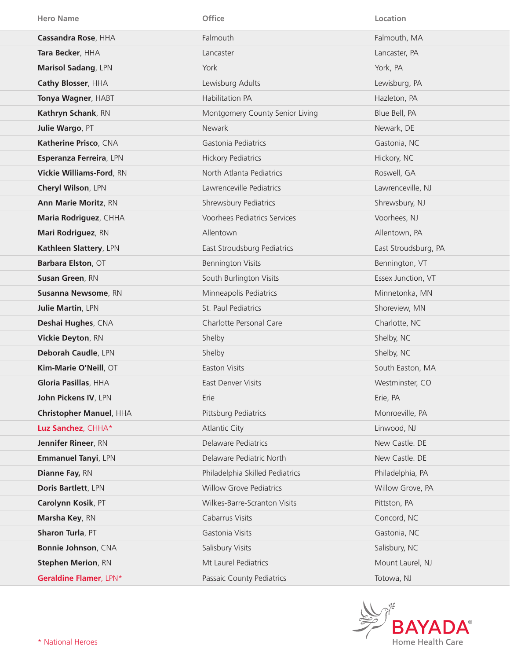| <b>Hero Name</b>                | Office                          | Location             |
|---------------------------------|---------------------------------|----------------------|
| Cassandra Rose, HHA             | Falmouth                        | Falmouth, MA         |
| Tara Becker, HHA                | Lancaster                       | Lancaster, PA        |
| <b>Marisol Sadang, LPN</b>      | York                            | York, PA             |
| Cathy Blosser, HHA              | Lewisburg Adults                | Lewisburg, PA        |
| Tonya Wagner, HABT              | <b>Habilitation PA</b>          | Hazleton, PA         |
| Kathryn Schank, RN              | Montgomery County Senior Living | Blue Bell, PA        |
| Julie Wargo, PT                 | <b>Newark</b>                   | Newark, DE           |
| Katherine Prisco, CNA           | Gastonia Pediatrics             | Gastonia, NC         |
| Esperanza Ferreira, LPN         | <b>Hickory Pediatrics</b>       | Hickory, NC          |
| <b>Vickie Williams-Ford, RN</b> | North Atlanta Pediatrics        | Roswell, GA          |
| Cheryl Wilson, LPN              | Lawrenceville Pediatrics        | Lawrenceville, NJ    |
| <b>Ann Marie Moritz, RN</b>     | Shrewsbury Pediatrics           | Shrewsbury, NJ       |
| Maria Rodriguez, CHHA           | Voorhees Pediatrics Services    | Voorhees, NJ         |
| Mari Rodriguez, RN              | Allentown                       | Allentown, PA        |
| Kathleen Slattery, LPN          | East Stroudsburg Pediatrics     | East Stroudsburg, PA |
| Barbara Elston, OT              | <b>Bennington Visits</b>        | Bennington, VT       |
| Susan Green, RN                 | South Burlington Visits         | Essex Junction, VT   |
| Susanna Newsome, RN             | Minneapolis Pediatrics          | Minnetonka, MN       |
| Julie Martin, LPN               | St. Paul Pediatrics             | Shoreview, MN        |
| Deshai Hughes, CNA              | Charlotte Personal Care         | Charlotte, NC        |
| Vickie Deyton, RN               | Shelby                          | Shelby, NC           |
| Deborah Caudle, LPN             | Shelby                          | Shelby, NC           |
| Kim-Marie O'Neill, OT           | <b>Easton Visits</b>            | South Easton, MA     |
| Gloria Pasillas, HHA            | <b>East Denver Visits</b>       | Westminster, CO      |
| John Pickens IV, LPN            | Erie                            | Erie, PA             |
| Christopher Manuel, HHA         | Pittsburg Pediatrics            | Monroeville, PA      |
| Luz Sanchez, CHHA*              | <b>Atlantic City</b>            | Linwood, NJ          |
| Jennifer Rineer, RN             | Delaware Pediatrics             | New Castle. DE       |
| <b>Emmanuel Tanyi, LPN</b>      | Delaware Pediatric North        | New Castle. DE       |
| Dianne Fay, RN                  | Philadelphia Skilled Pediatrics | Philadelphia, PA     |
| Doris Bartlett, LPN             | <b>Willow Grove Pediatrics</b>  | Willow Grove, PA     |
| Carolynn Kosik, PT              | Wilkes-Barre-Scranton Visits    | Pittston, PA         |
| Marsha Key, RN                  | Cabarrus Visits                 | Concord, NC          |
| Sharon Turla, PT                | Gastonia Visits                 | Gastonia, NC         |
| Bonnie Johnson, CNA             | Salisbury Visits                | Salisbury, NC        |
| <b>Stephen Merion, RN</b>       | Mt Laurel Pediatrics            | Mount Laurel, NJ     |
| Geraldine Flamer, LPN*          | Passaic County Pediatrics       | Totowa, NJ           |

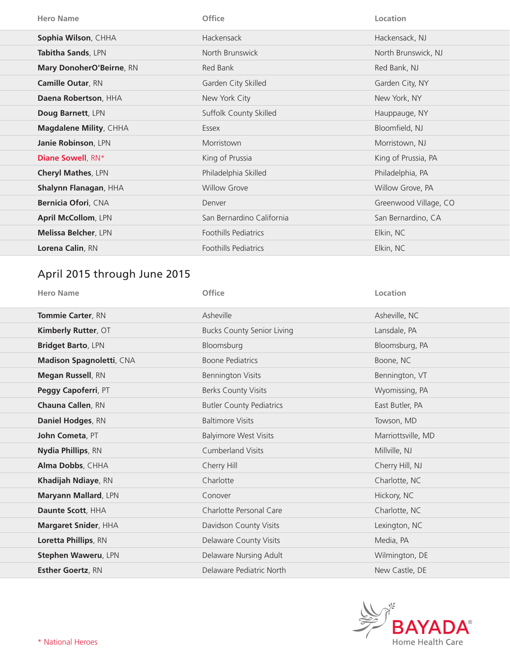| <b>Hero Name</b>            | <b>Office</b>               | Location              |
|-----------------------------|-----------------------------|-----------------------|
| Sophia Wilson, CHHA         | <b>Hackensack</b>           | Hackensack, NJ        |
| Tabitha Sands, LPN          | North Brunswick             | North Brunswick, NJ   |
| Mary DonoherO'Beirne, RN    | Red Bank                    | Red Bank, NJ          |
| <b>Camille Outar, RN</b>    | Garden City Skilled         | Garden City, NY       |
| Daena Robertson, HHA        | New York City               | New York, NY          |
| Doug Barnett, LPN           | Suffolk County Skilled      | Hauppauge, NY         |
| Magdalene Mility, CHHA      | Essex                       | Bloomfield, NJ        |
| Janie Robinson, LPN         | Morristown                  | Morristown, NJ        |
| Diane Sowell, RN*           | King of Prussia             | King of Prussia, PA   |
| <b>Cheryl Mathes, LPN</b>   | Philadelphia Skilled        | Philadelphia, PA      |
| Shalynn Flanagan, HHA       | <b>Willow Grove</b>         | Willow Grove, PA      |
| Bernicia Ofori, CNA         | Denver                      | Greenwood Village, CO |
| <b>April McCollom, LPN</b>  | San Bernardino California   | San Bernardino, CA    |
| <b>Melissa Belcher, LPN</b> | <b>Foothills Pediatrics</b> | Elkin, NC             |
| Lorena Calin, RN            | <b>Foothills Pediatrics</b> | Elkin, NC             |

## April 2015 through June 2015

| <b>Hero Name</b>            | Office                            | Location           |
|-----------------------------|-----------------------------------|--------------------|
| <b>Tommie Carter, RN</b>    | Asheville                         | Asheville, NC      |
| Kimberly Rutter, OT         | <b>Bucks County Senior Living</b> | Lansdale, PA       |
| <b>Bridget Barto, LPN</b>   | Bloomsburg                        | Bloomsburg, PA     |
| Madison Spagnoletti, CNA    | <b>Boone Pediatrics</b>           | Boone, NC          |
| <b>Megan Russell</b> , RN   | <b>Bennington Visits</b>          | Bennington, VT     |
| <b>Peggy Capoferri, PT</b>  | <b>Berks County Visits</b>        | Wyomissing, PA     |
| Chauna Callen, RN           | <b>Butler County Pediatrics</b>   | East Butler, PA    |
| Daniel Hodges, RN           | <b>Baltimore Visits</b>           | Towson, MD         |
| John Cometa, PT             | <b>Balyimore West Visits</b>      | Marriottsville, MD |
| <b>Nydia Phillips, RN</b>   | <b>Cumberland Visits</b>          | Millville, NJ      |
| Alma Dobbs, CHHA            | Cherry Hill                       | Cherry Hill, NJ    |
| Khadijah Ndiaye, RN         | Charlotte                         | Charlotte, NC      |
| Maryann Mallard, LPN        | Conover                           | Hickory, NC        |
| Daunte Scott, HHA           | Charlotte Personal Care           | Charlotte, NC      |
| <b>Margaret Snider, HHA</b> | Davidson County Visits            | Lexington, NC      |
| Loretta Phillips, RN        | Delaware County Visits            | Media, PA          |
| Stephen Waweru, LPN         | Delaware Nursing Adult            | Wilmington, DE     |
| <b>Esther Goertz, RN</b>    | Delaware Pediatric North          | New Castle, DE     |

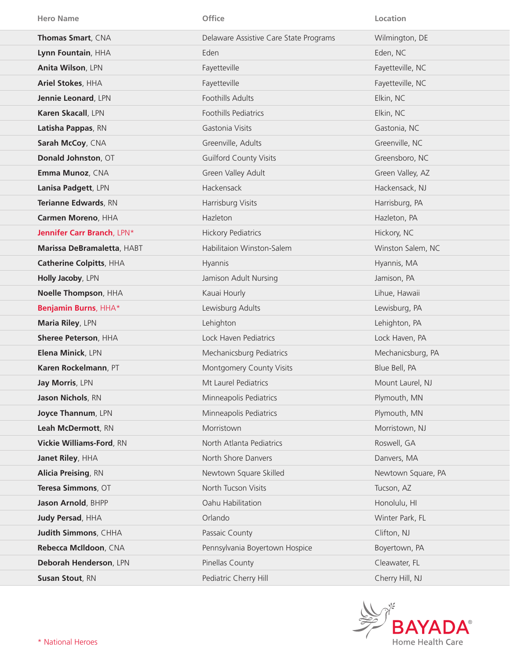| <b>Hero Name</b>            | Office                                 | Location           |
|-----------------------------|----------------------------------------|--------------------|
| Thomas Smart, CNA           | Delaware Assistive Care State Programs | Wilmington, DE     |
| Lynn Fountain, HHA          | Eden                                   | Eden, NC           |
| Anita Wilson, LPN           | Fayetteville                           | Fayetteville, NC   |
| Ariel Stokes, HHA           | Fayetteville                           | Fayetteville, NC   |
| Jennie Leonard, LPN         | Foothills Adults                       | Elkin, NC          |
| Karen Skacall, LPN          | Foothills Pediatrics                   | Elkin, NC          |
| Latisha Pappas, RN          | Gastonia Visits                        | Gastonia, NC       |
| Sarah McCoy, CNA            | Greenville, Adults                     | Greenville, NC     |
| Donald Johnston, OT         | <b>Guilford County Visits</b>          | Greensboro, NC     |
| Emma Munoz, CNA             | Green Valley Adult                     | Green Valley, AZ   |
| Lanisa Padgett, LPN         | Hackensack                             | Hackensack, NJ     |
| Terianne Edwards, RN        | Harrisburg Visits                      | Harrisburg, PA     |
| Carmen Moreno, HHA          | Hazleton                               | Hazleton, PA       |
| Jennifer Carr Branch, LPN*  | <b>Hickory Pediatrics</b>              | Hickory, NC        |
| Marissa DeBramaletta, HABT  | Habilitaion Winston-Salem              | Winston Salem, NC  |
| Catherine Colpitts, HHA     | Hyannis                                | Hyannis, MA        |
| Holly Jacoby, LPN           | Jamison Adult Nursing                  | Jamison, PA        |
| Noelle Thompson, HHA        | Kauai Hourly                           | Lihue, Hawaii      |
| Benjamin Burns, HHA*        | Lewisburg Adults                       | Lewisburg, PA      |
| Maria Riley, LPN            | Lehighton                              | Lehighton, PA      |
| Sheree Peterson, HHA        | Lock Haven Pediatrics                  | Lock Haven, PA     |
| Elena Minick, LPN           | Mechanicsburg Pediatrics               | Mechanicsburg, PA  |
| Karen Rockelmann, PT        | Montgomery County Visits               | Blue Bell, PA      |
| Jay Morris, LPN             | Mt Laurel Pediatrics                   | Mount Laurel, NJ   |
| Jason Nichols, RN           | Minneapolis Pediatrics                 | Plymouth, MN       |
| Joyce Thannum, LPN          | Minneapolis Pediatrics                 | Plymouth, MN       |
| Leah McDermott, RN          | Morristown                             | Morristown, NJ     |
| Vickie Williams-Ford, RN    | North Atlanta Pediatrics               | Roswell, GA        |
| Janet Riley, HHA            | North Shore Danvers                    | Danvers, MA        |
| <b>Alicia Preising, RN</b>  | Newtown Square Skilled                 | Newtown Square, PA |
| Teresa Simmons, OT          | North Tucson Visits                    | Tucson, AZ         |
| Jason Arnold, BHPP          | Oahu Habilitation                      | Honolulu, HI       |
| <b>Judy Persad, HHA</b>     | Orlando                                | Winter Park, FL    |
| <b>Judith Simmons, CHHA</b> | Passaic County                         | Clifton, NJ        |
| Rebecca McIldoon, CNA       | Pennsylvania Boyertown Hospice         | Boyertown, PA      |
| Deborah Henderson, LPN      | Pinellas County                        | Cleawater, FL      |
| Susan Stout, RN             | Pediatric Cherry Hill                  | Cherry Hill, NJ    |

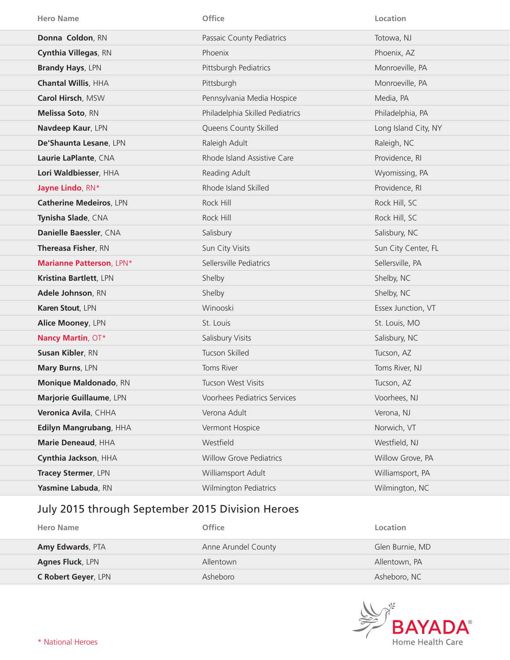| <b>Hero Name</b>           | Office                          | Location             |
|----------------------------|---------------------------------|----------------------|
| Donna Coldon, RN           | Passaic County Pediatrics       | Totowa, NJ           |
| Cynthia Villegas, RN       | Phoenix                         | Phoenix, AZ          |
| <b>Brandy Hays, LPN</b>    | Pittsburgh Pediatrics           | Monroeville, PA      |
| <b>Chantal Willis, HHA</b> | Pittsburgh                      | Monroeville, PA      |
| Carol Hirsch, MSW          | Pennsylvania Media Hospice      | Media, PA            |
| Melissa Soto, RN           | Philadelphia Skilled Pediatrics | Philadelphia, PA     |
| Navdeep Kaur, LPN          | Queens County Skilled           | Long Island City, NY |
| De'Shaunta Lesane, LPN     | Raleigh Adult                   | Raleigh, NC          |
| Laurie LaPlante, CNA       | Rhode Island Assistive Care     | Providence, RI       |
| Lori Waldbiesser, HHA      | Reading Adult                   | Wyomissing, PA       |
| Jayne Lindo, RN*           | Rhode Island Skilled            | Providence, RI       |
| Catherine Medeiros, LPN    | Rock Hill                       | Rock Hill, SC        |
| Tynisha Slade, CNA         | Rock Hill                       | Rock Hill, SC        |
| Danielle Baessler, CNA     | Salisbury                       | Salisbury, NC        |
| Thereasa Fisher, RN        | Sun City Visits                 | Sun City Center, FL  |
| Marianne Patterson, LPN*   | Sellersville Pediatrics         | Sellersville, PA     |
| Kristina Bartlett, LPN     | Shelby                          | Shelby, NC           |
| Adele Johnson, RN          | Shelby                          | Shelby, NC           |
| Karen Stout, LPN           | Winooski                        | Essex Junction, VT   |
| Alice Mooney, LPN          | St. Louis                       | St. Louis, MO        |
| Nancy Martin, OT*          | Salisbury Visits                | Salisbury, NC        |
| Susan Kibler, RN           | Tucson Skilled                  | Tucson, AZ           |
| Mary Burns, LPN            | Toms River                      | Toms River, NJ       |
| Monique Maldonado, RN      | Tucson West Visits              | Tucson, AZ           |
| Marjorie Guillaume, LPN    | Voorhees Pediatrics Services    | Voorhees, NJ         |
| Veronica Avila, CHHA       | Verona Adult                    | Verona, NJ           |
| Edilyn Mangrubang, HHA     | Vermont Hospice                 | Norwich, VT          |
| Marie Deneaud, HHA         | Westfield                       | Westfield, NJ        |
| Cynthia Jackson, HHA       | <b>Willow Grove Pediatrics</b>  | Willow Grove, PA     |
| Tracey Stermer, LPN        | Williamsport Adult              | Williamsport, PA     |
| Yasmine Labuda, RN         | <b>Wilmington Pediatrics</b>    | Wilmington, NC       |

## July 2015 through September 2015 Division Heroes

| Hero Name                  | <b>Office</b>       | Location        |
|----------------------------|---------------------|-----------------|
| Amy Edwards, PTA           | Anne Arundel County | Glen Burnie, MD |
| <b>Agnes Fluck, LPN</b>    | Allentown           | Allentown, PA   |
| <b>C Robert Geyer, LPN</b> | Asheboro            | Asheboro, NC    |

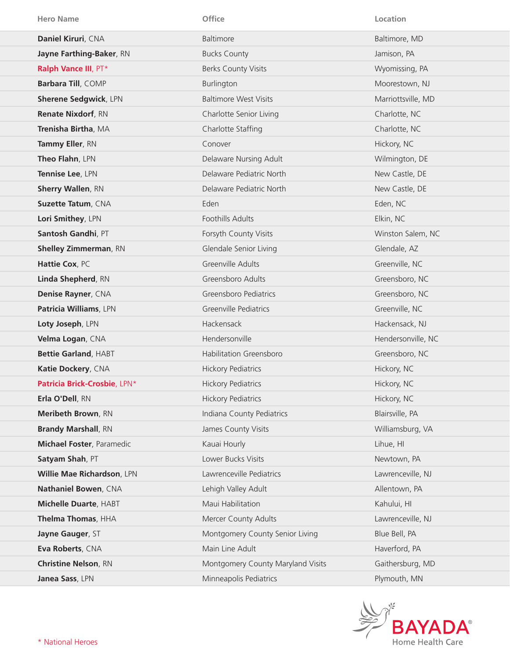| <b>Hero Name</b>             | Office                            | Location           |
|------------------------------|-----------------------------------|--------------------|
| Daniel Kiruri, CNA           | Baltimore                         | Baltimore, MD      |
| Jayne Farthing-Baker, RN     | <b>Bucks County</b>               | Jamison, PA        |
| Ralph Vance III, PT*         | <b>Berks County Visits</b>        | Wyomissing, PA     |
| Barbara Till, COMP           | Burlington                        | Moorestown, NJ     |
| <b>Sherene Sedgwick, LPN</b> | <b>Baltimore West Visits</b>      | Marriottsville, MD |
| <b>Renate Nixdorf, RN</b>    | Charlotte Senior Living           | Charlotte, NC      |
| Trenisha Birtha, MA          | Charlotte Staffing                | Charlotte, NC      |
| Tammy Eller, RN              | Conover                           | Hickory, NC        |
| Theo Flahn, LPN              | Delaware Nursing Adult            | Wilmington, DE     |
| Tennise Lee, LPN             | Delaware Pediatric North          | New Castle, DE     |
| <b>Sherry Wallen, RN</b>     | Delaware Pediatric North          | New Castle, DE     |
| Suzette Tatum, CNA           | Eden                              | Eden, NC           |
| Lori Smithey, LPN            | Foothills Adults                  | Elkin, NC          |
| Santosh Gandhi, PT           | Forsyth County Visits             | Winston Salem, NC  |
| <b>Shelley Zimmerman, RN</b> | Glendale Senior Living            | Glendale, AZ       |
| Hattie Cox, PC               | Greenville Adults                 | Greenville, NC     |
| Linda Shepherd, RN           | Greensboro Adults                 | Greensboro, NC     |
| Denise Rayner, CNA           | Greensboro Pediatrics             | Greensboro, NC     |
| Patricia Williams, LPN       | Greenville Pediatrics             | Greenville, NC     |
| Loty Joseph, LPN             | Hackensack                        | Hackensack, NJ     |
| Velma Logan, CNA             | Hendersonville                    | Hendersonville, NC |
| <b>Bettie Garland, HABT</b>  | Habilitation Greensboro           | Greensboro, NC     |
| Katie Dockery, CNA           | <b>Hickory Pediatrics</b>         | Hickory, NC        |
| Patricia Brick-Crosbie, LPN* | <b>Hickory Pediatrics</b>         | Hickory, NC        |
| Erla O'Dell, RN              | <b>Hickory Pediatrics</b>         | Hickory, NC        |
| Meribeth Brown, RN           | Indiana County Pediatrics         | Blairsville, PA    |
| <b>Brandy Marshall, RN</b>   | James County Visits               | Williamsburg, VA   |
| Michael Foster, Paramedic    | Kauai Hourly                      | Lihue, HI          |
| Satyam Shah, PT              | Lower Bucks Visits                | Newtown, PA        |
| Willie Mae Richardson, LPN   | Lawrenceville Pediatrics          | Lawrenceville, NJ  |
| Nathaniel Bowen, CNA         | Lehigh Valley Adult               | Allentown, PA      |
| Michelle Duarte, HABT        | Maui Habilitation                 | Kahului, HI        |
| Thelma Thomas, HHA           | Mercer County Adults              | Lawrenceville, NJ  |
| Jayne Gauger, ST             | Montgomery County Senior Living   | Blue Bell, PA      |
| Eva Roberts, CNA             | Main Line Adult                   | Haverford, PA      |
| <b>Christine Nelson, RN</b>  | Montgomery County Maryland Visits | Gaithersburg, MD   |
| Janea Sass, LPN              | Minneapolis Pediatrics            | Plymouth, MN       |

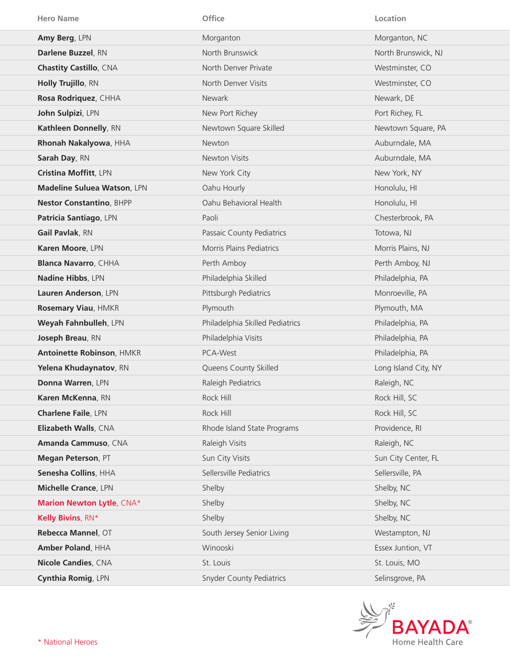| <b>Hero Name</b>                   | Office                          | Location             |
|------------------------------------|---------------------------------|----------------------|
| Amy Berg, LPN                      | Morganton                       | Morganton, NC        |
| Darlene Buzzel, RN                 | North Brunswick                 | North Brunswick, NJ  |
| <b>Chastity Castillo, CNA</b>      | North Denver Private            | Westminster, CO      |
| Holly Trujillo, RN                 | North Denver Visits             | Westminster, CO      |
| Rosa Rodriquez, CHHA               | <b>Newark</b>                   | Newark, DE           |
| John Sulpizi, LPN                  | New Port Richey                 | Port Richey, FL      |
| Kathleen Donnelly, RN              | Newtown Square Skilled          | Newtown Square, PA   |
| Rhonah Nakalyowa, HHA              | Newton                          | Auburndale, MA       |
| Sarah Day, RN                      | Newton Visits                   | Auburndale, MA       |
| Cristina Moffitt, LPN              | New York City                   | New York, NY         |
| <b>Madeline Suluea Watson, LPN</b> | Oahu Hourly                     | Honolulu, HI         |
| <b>Nestor Constantino, BHPP</b>    | Oahu Behavioral Health          | Honolulu, HI         |
| Patricia Santiago, LPN             | Paoli                           | Chesterbrook, PA     |
| Gail Pavlak, RN                    | Passaic County Pediatrics       | Totowa, NJ           |
| Karen Moore, LPN                   | <b>Morris Plains Pediatrics</b> | Morris Plains, NJ    |
| <b>Blanca Navarro, CHHA</b>        | Perth Amboy                     | Perth Amboy, NJ      |
| Nadine Hibbs, LPN                  | Philadelphia Skilled            | Philadelphia, PA     |
| Lauren Anderson, LPN               | Pittsburgh Pediatrics           | Monroeville, PA      |
| Rosemary Viau, HMKR                | Plymouth                        | Plymouth, MA         |
| Weyah Fahnbulleh, LPN              | Philadelphia Skilled Pediatrics | Philadelphia, PA     |
| Joseph Breau, RN                   | Philadelphia Visits             | Philadelphia, PA     |
| Antoinette Robinson, HMKR          | PCA-West                        | Philadelphia, PA     |
| Yelena Khudaynatov, RN             | Queens County Skilled           | Long Island City, NY |
| Donna Warren, LPN                  | Raleigh Pediatrics              | Raleigh, NC          |
| Karen McKenna, RN                  | Rock Hill                       | Rock Hill, SC        |
| <b>Charlene Faile, LPN</b>         | Rock Hill                       | Rock Hill, SC        |
| Elizabeth Walls, CNA               | Rhode Island State Programs     | Providence, RI       |
| Amanda Cammuso, CNA                | Raleigh Visits                  | Raleigh, NC          |
| Megan Peterson, PT                 | Sun City Visits                 | Sun City Center, FL  |
| Senesha Collins, HHA               | Sellersville Pediatrics         | Sellersville, PA     |
| <b>Michelle Crance, LPN</b>        | Shelby                          | Shelby, NC           |
| <b>Marion Newton Lytle, CNA*</b>   | Shelby                          | Shelby, NC           |
| Kelly Bivins, RN*                  | Shelby                          | Shelby, NC           |
| Rebecca Mannel, OT                 | South Jersey Senior Living      | Westampton, NJ       |
| Amber Poland, HHA                  | Winooski                        | Essex Juntion, VT    |
| <b>Nicole Candies, CNA</b>         | St. Louis                       | St. Louis, MO        |
| Cynthia Romig, LPN                 | <b>Snyder County Pediatrics</b> | Selinsgrove, PA      |